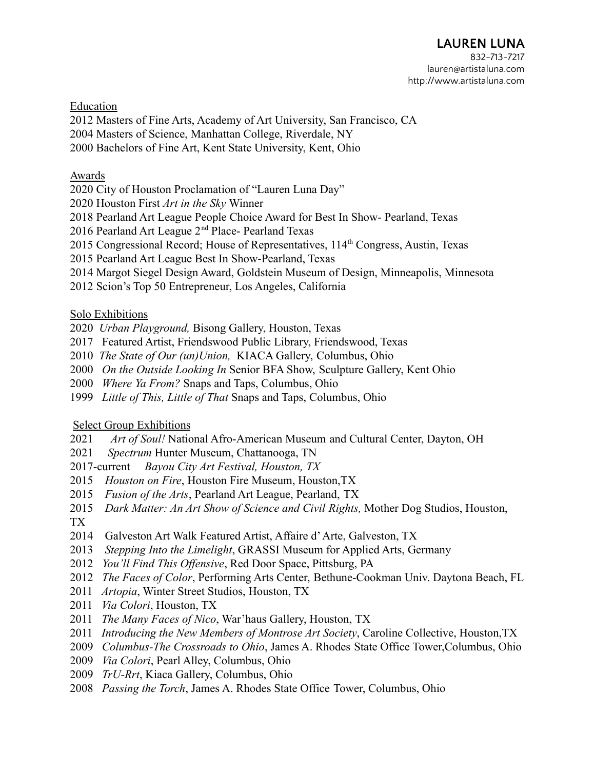832-713-7217 lauren@artistaluna.com http://www.artistaluna.com

Education

2012 Masters of Fine Arts, Academy of Art University, San Francisco, CA 2004 Masters of Science, Manhattan College, Riverdale, NY 2000 Bachelors of Fine Art, Kent State University, Kent, Ohio

## Awards

2020 City of Houston Proclamation of "Lauren Luna Day"

- 2020 Houston First *Art in the Sky* Winner
- 2018 Pearland Art League People Choice Award for Best In Show- Pearland, Texas

2016 Pearland Art League 2<sup>nd</sup> Place- Pearland Texas

2015 Congressional Record; House of Representatives, 114<sup>th</sup> Congress, Austin, Texas

2015 Pearland Art League Best In Show-Pearland, Texas

- 2014 Margot Siegel Design Award, Goldstein Museum of Design, Minneapolis, Minnesota
- 2012 Scion's Top 50 Entrepreneur, Los Angeles, California

## Solo Exhibitions

- 2020 *Urban Playground,* Bisong Gallery, Houston, Texas
- 2017 Featured Artist, Friendswood Public Library, Friendswood, Texas
- 2010 *The State of Our (un)Union,* KIACA Gallery, Columbus, Ohio
- 2000 *On the Outside Looking In* Senior BFA Show, Sculpture Gallery, Kent Ohio
- 2000 *Where Ya From?* Snaps and Taps, Columbus, Ohio
- 1999 *Little of This, Little of That* Snaps and Taps, Columbus, Ohio

## Select Group Exhibitions

- 2021 *Art of Soul!* National Afro-American Museum and Cultural Center, Dayton, OH
- 2021 *Spectrum* Hunter Museum, Chattanooga, TN
- 2017-current *Bayou City Art Festival, Houston, TX*
- 2015 *Houston on Fire*, Houston Fire Museum, Houston,TX
- 2015 *Fusion of the Arts*, Pearland Art League, Pearland, TX

2015 *Dark Matter: An Art Show of Science and Civil Rights,* Mother Dog Studios, Houston,

TX

- 2014 Galveston Art Walk Featured Artist, Affaire d'Arte, Galveston, TX
- 2013 *Stepping Into the Limelight*, GRASSI Museum for Applied Arts, Germany
- 2012 *You'll Find This Offensive*, Red Door Space, Pittsburg, PA
- 2012 *The Faces of Color*, Performing Arts Center, Bethune-Cookman Univ. Daytona Beach, FL
- 2011 *Artopia*, Winter Street Studios, Houston, TX
- 2011 *Via Colori*, Houston, TX
- 2011 *The Many Faces of Nico*, War'haus Gallery, Houston, TX
- 2011 *Introducing the New Members of Montrose Art Society*, Caroline Collective, Houston,TX
- 2009 *Columbus-The Crossroads to Ohio*, James A. Rhodes State Office Tower,Columbus, Ohio
- 2009 *Via Colori*, Pearl Alley, Columbus, Ohio
- 2009 *TrU-Rrt*, Kiaca Gallery, Columbus, Ohio
- 2008 *Passing the Torch*, James A. Rhodes State Office Tower, Columbus, Ohio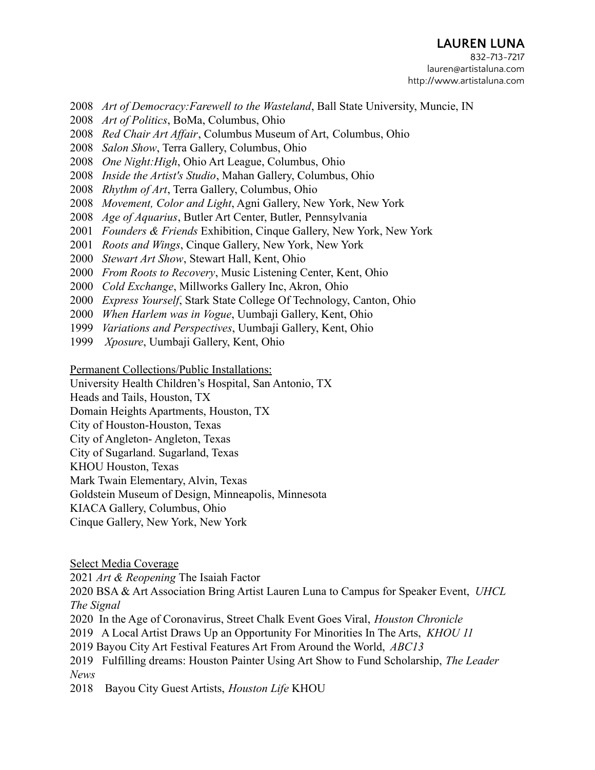## **LAUREN LUNA**

832-713-7217 lauren@artistaluna.com http://www.artistaluna.com

- 2008 *Art of Democracy:Farewell to the Wasteland*, Ball State University, Muncie, IN
- 2008 *Art of Politics*, BoMa, Columbus, Ohio
- 2008 *Red Chair Art Affair*, Columbus Museum of Art, Columbus, Ohio
- 2008 *Salon Show*, Terra Gallery, Columbus, Ohio
- 2008 *One Night:High*, Ohio Art League, Columbus, Ohio
- 2008 *Inside the Artist's Studio*, Mahan Gallery, Columbus, Ohio
- 2008 *Rhythm of Art*, Terra Gallery, Columbus, Ohio
- 2008 *Movement, Color and Light*, Agni Gallery, New York, New York
- 2008 *Age of Aquarius*, Butler Art Center, Butler, Pennsylvania
- 2001 *Founders & Friends* Exhibition, Cinque Gallery, New York, New York
- 2001 *Roots and Wings*, Cinque Gallery, New York, New York
- 2000 *Stewart Art Show*, Stewart Hall, Kent, Ohio
- 2000 *From Roots to Recovery*, Music Listening Center, Kent, Ohio
- 2000 *Cold Exchange*, Millworks Gallery Inc, Akron, Ohio
- 2000 *Express Yourself*, Stark State College Of Technology, Canton, Ohio
- 2000 *When Harlem was in Vogue*, Uumbaji Gallery, Kent, Ohio
- 1999 *Variations and Perspectives*, Uumbaji Gallery, Kent, Ohio
- 1999 *Xposure*, Uumbaji Gallery, Kent, Ohio

Permanent Collections/Public Installations:

University Health Children's Hospital, San Antonio, TX

Heads and Tails, Houston, TX

Domain Heights Apartments, Houston, TX

City of Houston-Houston, Texas

City of Angleton- Angleton, Texas

City of Sugarland. Sugarland, Texas

KHOU Houston, Texas

Mark Twain Elementary, Alvin, Texas

Goldstein Museum of Design, Minneapolis, Minnesota

KIACA Gallery, Columbus, Ohio

Cinque Gallery, New York, New York

Select Media Coverage

2021 *Art & Reopening* The Isaiah Factor

2020 BSA & Art Association Bring Artist Lauren Luna to Campus for Speaker Event, *UHCL The Signal*

2020 In the Age of Coronavirus, Street Chalk Event Goes Viral, *Houston Chronicle*

2019 A Local Artist Draws Up an Opportunity For Minorities In The Arts, *KHOU 11*

2019 Bayou City Art Festival Features Art From Around the World, *ABC13*

2019 Fulfilling dreams: Houston Painter Using Art Show to Fund Scholarship, *The Leader News*

2018 Bayou City Guest Artists, *Houston Life* KHOU